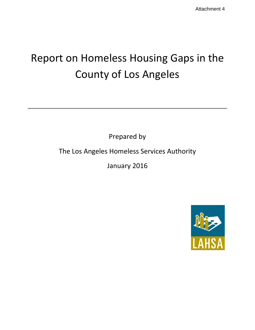# Report on Homeless Housing Gaps in the County of Los Angeles

Prepared by

The Los Angeles Homeless Services Authority

January 2016

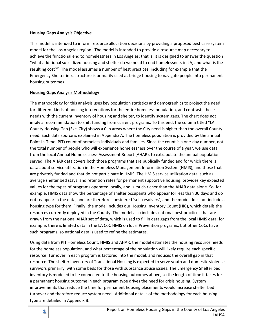#### **Housing Gaps Analysis Objective**

This model is intended to inform resource allocation decisions by providing a proposed best case system model for the Los Angeles region. The model is intended to provide a resource map necessary to achieve the functional end to homelessness in Los Angeles; that is, it is designed to answer the question "what additional subsidized housing and shelter do we need to end homelessness in LA, and what is the resulting cost?" The model assumes a number of best practices, including for example that the Emergency Shelter infrastructure is primarily used as bridge housing to navigate people into permanent housing outcomes.

#### **Housing Gaps Analysis Methodology**

The methodology for this analysis uses key population statistics and demographics to project the need for different kinds of housing interventions for the entire homeless population, and contrasts those needs with the current inventory of housing and shelter, to identify system gaps. The chart does not imply a recommendation to shift funding from current programs. To this end, the column titled "LA County Housing Gap (Exc. City) shows a 0 in areas where the City need is higher than the overall County need. Each data source is explained in Appendix A. The homeless population is provided by the annual Point-In-Time (PIT) count of homeless individuals and families. Since the count is a one-day number, not the total number of people who will experience homelessness over the course of a year, we use data from the local Annual Homelessness Assessment Report (AHAR), to extrapolate the annual population served. The AHAR data covers both those programs that are publically funded and for which there is data about service utilization in the Homeless Management Information System (HMIS), and those that are privately funded and that do not participate in HMIS. The HMIS service utilization data, such as average shelter bed stays, and retention rates for permanent supportive housing, provides key expected values for the types of programs operated locally, and is much richer than the AHAR data alone. So, for example, HMIS data show the percentage of shelter occupants who appear for less than 30 days and do not reappear in the data, and are therefore considered 'self-resolvers', and the model does not include a housing type for them. Finally, the model includes our Housing Inventory Count (HIC), which details the resources currently deployed in the County. The model also includes national best practices that are drawn from the national AHAR set of data, which is used to fill in data gaps from the local HMIS data; for example, there is limited data in the LA CoC HMIS on local Prevention programs, but other CoCs have such programs, so national data is used to refine the estimates.

Using data from PIT Homeless Count, HMIS and AHAR, the model estimates the housing resource needs for the homeless population, and what percentage of the population will likely require each specific resource. Turnover in each program is factored into the model, and reduces the overall gap in that resource. The shelter inventory of Transitional Housing is expected to serve youth and domestic violence survivors primarily, with some beds for those with substance abuse issues. The Emergency Shelter bed inventory is modeled to be connected to the housing outcomes above, so the length of time it takes for a permanent housing outcome in each program type drives the need for crisis housing. System improvements that reduce the time for permanent housing placements would increase shelter bed turnover and therefore reduce system need. Additional details of the methodology for each housing type are detailed in Appendix B.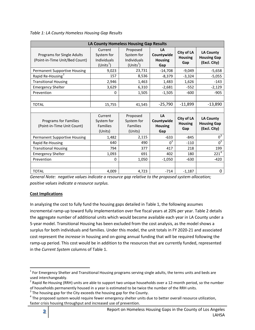*Table 1: LA County Homeless Housing Gap Results*

|                                                              |                                                            | LA County Homeless Housing Gap Results               |                                           |                                     |                                                        |
|--------------------------------------------------------------|------------------------------------------------------------|------------------------------------------------------|-------------------------------------------|-------------------------------------|--------------------------------------------------------|
| Programs for Single Adults<br>(Point-in-Time Unit/Bed Count) | Current<br>System for<br><b>Individuals</b><br>$(Units^1)$ | Proposed<br>System for<br>Individuals<br>$(Units^1)$ | LA<br>Countywide<br><b>Housing</b><br>Gap | City of LA<br><b>Housing</b><br>Gap | <b>LA County</b><br><b>Housing Gap</b><br>(Excl. City) |
| <b>Permanent Supportive Housing</b>                          | 9,023                                                      | 23,731                                               | $-14,708$                                 | $-9,049$                            | $-5,658$                                               |
| Rapid Re-Housing <sup>2</sup>                                | 157                                                        | 8,536                                                | $-8,379$                                  | $-3,324$                            | $-5,055$                                               |
| <b>Transitional Housing</b>                                  | 2,946                                                      | 1,463                                                | 1,483                                     | 1,626                               | $-143$                                                 |
| <b>Emergency Shelter</b>                                     | 3,629                                                      | 6,310                                                | $-2,681$                                  | $-552$                              | $-2,129$                                               |
| Prevention                                                   | $\Omega$                                                   | 1,505                                                | $-1,505$                                  | $-600$                              | $-905$                                                 |
|                                                              |                                                            |                                                      |                                           |                                     |                                                        |
| <b>TOTAL</b>                                                 | 15,755                                                     | 41,545                                               | $-25,790$                                 | $-11,899$                           | $-13,890$                                              |
|                                                              |                                                            |                                                      |                                           |                                     |                                                        |
| <b>Programs for Families</b><br>(Point-in-Time Unit Count)   | Current<br>System for<br><b>Families</b><br>(Units)        | Proposed<br>System for<br><b>Families</b><br>(Units) | LA<br>Countywide<br><b>Housing</b><br>Gap | City of LA<br><b>Housing</b><br>Gap | <b>LA County</b><br><b>Housing Gap</b><br>(Excl. City) |
| <b>Permanent Supportive Housing</b>                          | 1,482                                                      | 2,115                                                | $-633$                                    | $-845$                              | $0^3$                                                  |
| Rapid Re-Housing                                             | 640                                                        | 490                                                  | $0^3$                                     | $-110$                              | $0^3$                                                  |
| <b>Transitional Housing</b>                                  | 794                                                        | 377                                                  | 417                                       | 218                                 | 199                                                    |
| <b>Emergency Shelter</b>                                     | 1,093                                                      | 691                                                  | 402                                       | 180                                 | 221 <sup>4</sup>                                       |
| Prevention                                                   | $\Omega$                                                   | 1,050                                                | $-1,050$                                  | $-630$                              | $-420$                                                 |
|                                                              |                                                            |                                                      |                                           |                                     |                                                        |
| <b>TOTAL</b>                                                 | 4,009                                                      | 4,723                                                | $-714$                                    | $-1,187$                            | 0                                                      |

*General Note: negative values indicate a resource gap relative to the proposed system allocation; positive values indicate a resource surplus.*

# **Cost Implications**

In analyzing the cost to fully fund the housing gaps detailed in Table 1, the following assumes incremental ramp-up toward fully implementation over five fiscal years at 20% per year. Table 2 details the aggregate number of additional units which would become available each year in LA County under a 5-year model. Transitional Housing has been excluded from the cost analysis, as the model shows a surplus for both individuals and families. Under this model, the unit totals in FY 2020-21 and associated cost represent the *increase* in housing and on-going annual funding that will be required following the ramp-up period. This cost would be in addition to the resources that are currently funded, represented in the *Current System* columns of Table 1.

 $1$  For Emergency Shelter and Transitional Housing programs serving single adults, the terms units and beds are used interchangeably.

 $^2$  Rapid Re-Housing (RRH) units are able to support two unique households over a 12-month period, so the number of households permanently housed in a year is estimated to be twice the number of the RRH units.  $3$  The housing gap for the City exceeds the housing gap for the County.

<sup>&</sup>lt;sup>4</sup> The proposed system would require fewer emergency shelter units due to better overall resource utilization, faster crisis housing throughput and increased use of prevention.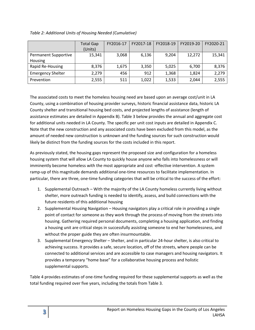|                                 | <b>Total Gap</b><br>(Units) | FY2016-17 | FY2017-18 | FY2018-19 | FY2019-20 | FY2020-21 |
|---------------------------------|-----------------------------|-----------|-----------|-----------|-----------|-----------|
| Permanent Supportive<br>Housing | 15,341                      | 3,068     | 6,136     | 9,204     | 12,272    | 15,341    |
| Rapid Re-Housing                | 8,376                       | 1,675     | 3,350     | 5,025     | 6,700     | 8,376     |
| <b>Emergency Shelter</b>        | 2,279                       | 456       | 912       | 1,368     | 1,824     | 2,279     |
| Prevention                      | 2,555                       | 511       | 1,022     | 1,533     | 2,044     | 2,555     |

*Table 2: Additional Units of Housing Needed (Cumulative)*

The associated costs to meet the homeless housing need are based upon an average cost/unit in LA County, using a combination of housing provider surveys, historic financial assistance data, historic LA County shelter and transitional housing bed costs, and projected lengths of assistance (length of assistance estimates are detailed in Appendix B). Table 3 below provides the annual and aggregate cost for additional units needed in LA County. The specific per unit cost inputs are detailed in Appendix C. Note that the new construction and any associated costs have been excluded from this model, as the amount of needed new construction is unknown and the funding sources for such construction would likely be distinct from the funding sources for the costs included in this report.

As previously stated, the housing gaps represent the proposed size and configuration for a homeless housing system that will allow LA County to quickly house anyone who falls into homelessness or will imminently become homeless with the most appropriate and cost -effective intervention. A system ramp-up of this magnitude demands additional one-time resources to facilitate implementation. In particular, there are three, one-time funding categories that will be critical to the success of the effort:

- 1. Supplemental Outreach With the majority of the LA County homeless currently living without shelter, more outreach funding is needed to identify, assess, and build connections with the future residents of this additional housing
- 2. Supplemental Housing Navigation Housing navigators play a critical role in providing a single point of contact for someone as they work through the process of moving from the streets into housing. Gathering required personal documents, completing a housing application, and finding a housing unit are critical steps in successfully assisting someone to end her homelessness, and without the proper guide they are often insurmountable.
- 3. Supplemental Emergency Shelter Shelter, and in particular 24-hour shelter, is also critical to achieving success. It provides a safe, secure location, off of the streets, where people can be connected to additional services and are accessible to case managers and housing navigators. It provides a temporary "home base" for a collaborative housing process and holistic supplemental supports.

Table 4 provides estimates of one-time funding required for these supplemental supports as well as the total funding required over five years, including the totals from Table 3.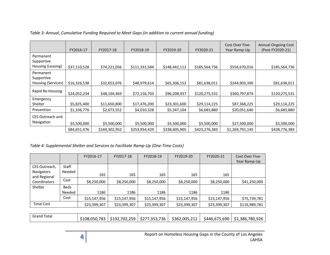|                                               | FY2016-17    | FY2017-18     | FY2018-19     | FY2019-20     | FY2020-21     | Cost Over Five-<br>Year Ramp-Up | <b>Annual Ongoing Cost</b><br>(Post-FY2020-21) |
|-----------------------------------------------|--------------|---------------|---------------|---------------|---------------|---------------------------------|------------------------------------------------|
| Permanent<br>Supportive<br>Housing (Leasing)  | \$37,110,528 | \$74,221,056  | \$111,331,584 | \$148,442,112 | \$185,564,736 | \$556,670,016                   | \$185,564,736                                  |
| Permanent<br>Supportive<br>Housing (Services) | \$16,326,538 | \$32,653,076  | \$48,979,614  | \$65,306,152  | \$81,638,011  | \$244,903,390                   | \$81,638,011                                   |
| Rapid Re-Housing                              | \$24,052,234 | \$48,104,469  | \$72,156,703  | \$96,208,937  | \$120,275,531 | \$360,797,874                   | \$120,275,531                                  |
| Emergency<br>Shelter                          | \$5,825,400  | \$11,650,800  | \$17,476,200  | \$23,301,600  | \$29,114,225  | \$87,368,225                    | \$29,114,225                                   |
| Prevention                                    | \$1,336,776  | \$2,673,552   | \$4,010,328   | \$5,347,104   | \$6,683,880   | \$20,051,640                    | \$6,683,880                                    |
| CES Outreach and<br>Navigation                | \$5,500,000  | \$5,500,000   | \$5,500,000   | \$5,500,000   | \$5,500,000   | \$27,500,000                    | \$5,500,000                                    |
|                                               | \$84,651,476 | \$169,302,952 | \$253,954,429 | \$338,605,905 | \$423,276,383 | \$1,269,791,145                 | \$428,776,383                                  |

#### *Table 3: Annual, Cumulative Funding Required to Meet Gaps (in addition to current annual funding)*

#### *Table 4: Supplemental Shelter and Services to Facilitate Ramp-Up (One-Time Costs)*

|                            |             | FY2016-17    | FY2017-18    | FY2018-19    | FY2019-20    | FY2020-21    | Cost Over Five- |
|----------------------------|-------------|--------------|--------------|--------------|--------------|--------------|-----------------|
|                            |             |              |              |              |              |              | Year Ramp-Up    |
| CES Outreach,              | Staff       |              |              |              |              |              |                 |
| Navigators<br>and Regional | Needed      | 165          | 165          | 165          | 165          | 165          |                 |
| Coordinators               | Cost        | \$8,250,000  | \$8,250,000  | \$8,250,000  | \$8,250,000  | \$8,250,000  | \$41,250,000    |
| Shelter                    | <b>Beds</b> |              |              |              |              |              |                 |
|                            | Needed      | 1186         | 1186         | 1186         | 1186         | 1186         |                 |
|                            | Cost        | \$15,147,956 | \$15,147,956 | \$15,147,956 | \$15,147,956 | \$15,147,956 | \$75,739,781    |
| <b>Total Cost</b>          |             | \$23,399,307 | \$23,399,307 | \$23,399,307 | \$23,399,307 | \$23,399,307 | \$116,989,781   |
|                            |             |              |              |              |              |              |                 |

| \$108,050,783<br>\$192,702,259<br>/,353,736<br>\$362,005,212<br>$\sim$ $\sim$ $\sim$ $\sim$<br>\$446,675,690<br>5211 | Total<br>Grand |  |  |  |  |  | \$1,386,780,926 |
|----------------------------------------------------------------------------------------------------------------------|----------------|--|--|--|--|--|-----------------|
|----------------------------------------------------------------------------------------------------------------------|----------------|--|--|--|--|--|-----------------|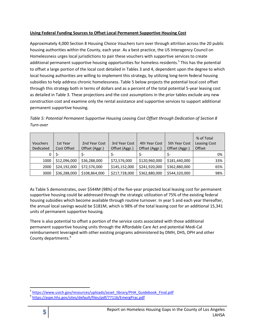## **Using Federal Funding Sources to Offset Local Permanent Supportive Housing Cost**

Approximately 4,000 Section 8 Housing Choice Vouchers turn over through attrition across the 20 public housing authorities within the County, each year. As a best practice, the US Interagency Council on Homelessness urges local jurisdictions to pair these vouchers with supportive services to create additional permanent supportive housing opportunities for homeless residents.<sup>5</sup> This has the potential to offset a large portion of the local cost detailed in Tables 3 and 4, dependent upon the degree to which local housing authorities are willing to implement this strategy, by utilizing long-term federal housing subsidies to help address chronic homelessness. Table 5 below projects the potential local cost offset through this strategy both in terms of dollars and as a percent of the total potential 5-year leasing cost as detailed in Table 3. These projections and the cost assumptions in the prior tables exclude any new construction cost and examine only the rental assistance and supportive services to support additional permanent supportive housing.

*Table 5: Potential Permanent Supportive Housing Leasing Cost Offset through Dedication of Section 8 Turn-over*

|           |              |                |                |                |                | % of Total   |
|-----------|--------------|----------------|----------------|----------------|----------------|--------------|
| Vouchers  | 1st Year     | 2nd Year Cost  | 3rd Year Cost  | 4th Year Cost  | 5th Year Cost  | Leasing Cost |
| Dedicated | Cost Offset  | Offset (Aggr.) | Offset (Aggr.) | Offset (Aggr.) | Offset (Aggr.) | Offset       |
|           | -S           | \$-            |                | S-             |                | 0%           |
| 1000      | \$12,096,000 | \$36,288,000   | \$72,576,000   | \$120,960,000  | \$181,440,000  | 33%          |
| 2000      | \$24,192,000 | \$72,576,000   | \$145,152,000  | \$241,920,000  | \$362,880,000  | 65%          |
| 3000      | \$36,288,000 | \$108,864,000  | \$217,728,000  | \$362,880,000  | \$544,320,000  | 98%          |

As Table 5 demonstrates, over \$544M (98%) of the five-year projected local leasing cost for permanent supportive housing could be addressed through the strategic utilization of 75% of the existing federal housing subsidies which become available through routine turnover. In year 5 and each year thereafter, the annual local savings would be \$181M, which is 98% of the total leasing cost for an additional 15,341 units of permanent supportive housing.

There is also potential to offset a portion of the service costs associated with those additional permanent supportive housing units through the Affordable Care Act and potential Medi-Cal reimbursement leveraged with other existing programs administered by DMH, DHS, DPH and other County departments.<sup>6</sup>

<sup>&</sup>lt;sup>5</sup> https://www.usich.gov/resources/uploads/asset\_library/PHA\_Guidebook\_Final.pdf

<sup>6</sup> https://aspe.hhs.gov/sites/default/files/pdf/77116/EmergPrac.pdf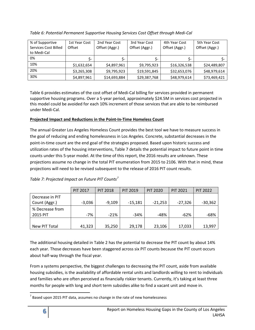| % of Supportive      | 1st Year Cost | 2nd Year Cost  | 3rd Year Cost  | 4th Year Cost  | 5th Year Cost  |
|----------------------|---------------|----------------|----------------|----------------|----------------|
| Services Cost Billed | Offset        | Offset (Aggr.) | Offset (Aggr.) | Offset (Aggr.) | Offset (Aggr.) |
| to Medi-Cal          |               |                |                |                |                |
| 0%                   |               | S-             | Ś-             | Ś-             |                |
| 10%                  | \$1,632,654   | \$4,897,961    | \$9,795,923    | \$16,326,538   | \$24,489,807   |
| 20%                  | \$3,265,308   | \$9,795,923    | \$19,591,845   | \$32,653,076   | \$48,979,614   |
| 30%                  | \$4,897,961   | \$14,693,884   | \$29,387,768   | \$48,979,614   | \$73,469,421   |

# *Table 6: Potential Permanent Supportive Housing Services Cost Offset through Medi-Cal*

Table 6 provides estimates of the cost offset of Medi-Cal billing for services provided in permanent supportive housing programs. Over a 5-year period, approximately \$24.5M in services cost projected in this model could be avoided for each 10% increment of those services that are able to be reimbursed under Medi-Cal.

## **Projected Impact and Reductions in the Point-In-Time Homeless Count**

The annual Greater Los Angeles Homeless Count provides the best tool we have to measure success in the goal of reducing and ending homelessness in Los Angeles. Concrete, substantial decreases in the point-in-time count are the end goal of the strategies proposed. Based upon historic success and utilization rates of the housing interventions, Table 7 details the potential impact to future point in time counts under this 5-year model. At the time of this report, the 2016 results are unknown. These projections assume no change in the total PIT enumeration from 2015 to 2106. With that in mind, these projections will need to be revised subsequent to the release of 2016 PIT count results.

|                 | <b>PIT 2017</b> | <b>PIT 2018</b> | <b>PIT 2019</b> | <b>PIT 2020</b> | <b>PIT 2021</b> | <b>PIT 2022</b> |
|-----------------|-----------------|-----------------|-----------------|-----------------|-----------------|-----------------|
| Decrease in PIT |                 |                 |                 |                 |                 |                 |
| Count (Aggr.)   | $-3,036$        | $-9,109$        | $-15,181$       | $-21,253$       | $-27,326$       | $-30,362$       |
| % Decrease from |                 |                 |                 |                 |                 |                 |
| 2015 PIT        | -7%             | $-21%$          | $-34%$          | $-48%$          | -62%            | -68%            |
|                 |                 |                 |                 |                 |                 |                 |
| New PIT Total   | 41,323          | 35,250          | 29,178          | 23,106          | 17,033          | 13,997          |

# *Table 7: Projected Impact on Future PIT Counts<sup>7</sup>*

The additional housing detailed in Table 2 has the potential to decrease the PIT count by about 14% each year. Those decreases have been staggered across six PIT counts because the PIT count occurs about half-way through the fiscal year.

From a systems perspective, the biggest challenges to decreasing the PIT count, aside from available housing subsidies, is the availability of affordable rental units and landlords willing to rent to individuals and families who are often perceived as financially riskier tenants. Currently, it's taking at least three months for people with long and short term subsidies alike to find a vacant unit and move in.

 $<sup>7</sup>$  Based upon 2015 PIT data, assumes no change in the rate of new homelessness</sup>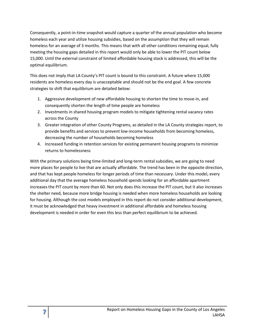Consequently, a point-in-time snapshot would capture a quarter of the annual population who become homeless each year and utilize housing subsidies, based on the assumption that they will remain homeless for an average of 3 months. This means that with all other conditions remaining equal, fully meeting the housing gaps detailed in this report would only be able to lower the PIT count below 15,000. Until the external constraint of limited affordable housing stock is addressed, this will be the optimal equilibrium.

This does not imply that LA County's PIT count is bound to this constraint. A future where 15,000 residents are homeless every day is unacceptable and should not be the end goal. A few concrete strategies to shift that equilibrium are detailed below:

- 1. Aggressive development of new affordable housing to shorten the time to move-in, and consequently shorten the length of time people are homeless
- 2. Investments in shared housing program models to mitigate tightening rental vacancy rates across the County
- 3. Greater integration of other County Programs, as detailed in the LA County strategies report, to provide benefits and services to prevent low-income households from becoming homeless, decreasing the number of households becoming homeless
- 4. Increased funding in retention services for existing permanent housing programs to minimize returns to homelessness

With the primary solutions being time-limited and long-term rental subsidies, we are going to need more places for people to live that are actually affordable. The trend has been in the opposite direction, and that has kept people homeless for longer periods of time than necessary. Under this model, every additional day that the average homeless household spends looking for an affordable apartment increases the PIT count by more than 60. Not only does this increase the PIT count, but it also increases the shelter need, because more bridge housing is needed when more homeless households are looking for housing. Although the cost models employed in this report do not consider additional development, it must be acknowledged that heavy investment in additional affordable and homeless housing development is needed in order for even this less than perfect equilibrium to be achieved.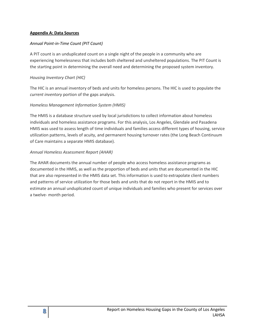#### **Appendix A: Data Sources**

#### *Annual Point-in-Time Count (PIT Count)*

A PIT count is an unduplicated count on a single night of the people in a community who are experiencing homelessness that includes both sheltered and unsheltered populations. The PIT Count is the starting point in determining the overall need and determining the proposed system inventory.

#### *Housing Inventory Chart (HIC)*

The HIC is an annual inventory of beds and units for homeless persons. The HIC is used to populate the *current inventory* portion of the gaps analysis.

#### *Homeless Management Information System (HMIS)*

The HMIS is a database structure used by local jurisdictions to collect information about homeless individuals and homeless assistance programs. For this analysis, Los Angeles, Glendale and Pasadena HMIS was used to assess length of time individuals and families access different types of housing, service utilization patterns, levels of acuity, and permanent housing turnover rates (the Long Beach Continuum of Care maintains a separate HMIS database).

#### *Annual Homeless Assessment Report (AHAR)*

The AHAR documents the annual number of people who access homeless assistance programs as documented in the HMIS, as well as the proportion of beds and units that are documented in the HIC that are also represented in the HMIS data set. This information is used to extrapolate client numbers and patterns of service utilization for those beds and units that do not report in the HMIS and to estimate an annual unduplicated count of unique individuals and families who present for services over a twelve- month period.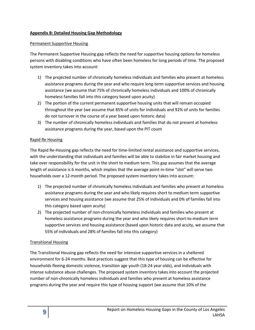#### **Appendix B: Detailed Housing Gap Methodology**

#### Permanent Supportive Housing

The Permanent Supportive Housing gap reflects the need for supportive housing options for homeless persons with disabling conditions who have often been homeless for long periods of time. The proposed system inventory takes into account:

- 1) The projected number of chronically homeless individuals and families who present at homeless assistance programs during the year and who require long-term supportive services and housing assistance (we assume that 75% of chronically homeless individuals and 100% of chronically homeless families fall into this category based upon acuity)
- 2) The portion of the current permanent supportive housing units that will remain occupied throughout the year (we assume that 85% of units for individuals and 92% of units for families do not turnover in the course of a year based upon historic data)
- 3) The number of chronically homeless individuals and families that do not present at homeless assistance programs during the year, based upon the PIT count

#### Rapid Re Housing

The Rapid Re-Housing gap reflects the need for time-limited rental assistance and supportive services, with the understanding that individuals and families will be able to stabilize in fair market housing and take over responsibility for the unit in the short to medium term. This gap assumes that the average length of assistance is 6 months, which implies that the average point-in-time "slot" will serve two households over a 12-month period. The proposed system inventory takes into account:

- 1) The projected number of chronically homeless individuals and families who present at homeless assistance programs during the year and who likely requires short to medium term supportive services and housing assistance (we assume that 25% of individuals and 0% of families fall into this category based upon acuity)
- 2) The projected number of non-chronically homeless individuals and families who present at homeless assistance programs during the year and who likely requires short-to-medium term supportive services and housing assistance (based upon historic data and acuity, we assume that 55% of individuals and 28% of families fall into this category)

#### Transitional Housing

The Transitional Housing gap reflects the need for intensive supportive services in a sheltered environment for 6-24 months. Best practices suggest that this type of housing can be effective for households fleeing domestic violence, transition age youth (18-24 year olds), and individuals with intense substance abuse challenges. The proposed system inventory takes into account the projected number of non-chronically homeless individuals and families who present at homeless assistance programs during the year and require this type of housing support (we assume that 10% of the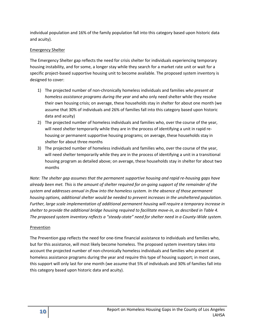individual population and 16% of the family population fall into this category based upon historic data and acuity).

## Emergency Shelter

The Emergency Shelter gap reflects the need for crisis shelter for individuals experiencing temporary housing instability, and for some, a longer stay while they search for a market rate unit or wait for a specific project-based supportive housing unit to become available. The proposed system inventory is designed to cover:

- 1) The projected number of non-chronically homeless individuals and families *who present at homeless assistance programs during the year* and who only need shelter while they resolve their own housing crisis; on average, these households stay in shelter for about one month (we assume that 30% of individuals and 26% of families fall into this category based upon historic data and acuity)
- 2) The projected number of homeless individuals and families who, over the course of the year, will need shelter temporarily while they are in the process of identifying a unit in rapid rehousing or permanent supportive housing programs; on average, these households stay in shelter for about three months
- 3) The projected number of homeless individuals and families who, over the course of the year, will need shelter temporarily while they are in the process of identifying a unit in a transitional housing program as detailed above; on average, these households stay in shelter for about two months

*Note: The shelter gap assumes that the permanent supportive housing and rapid re-housing gaps have already been met. This is the amount of shelter required for on-going support of the remainder of the system and addresses annual in-flow into the homeless system. In the absence of those permanent housing options, additional shelter would be needed to prevent increases in the unsheltered population. Further, large scale implementation of additional permanent housing will require a temporary increase in shelter to provide the additional bridge housing required to facilitate move-in, as described in Table 4. The proposed system inventory reflects a "steady-state" need for shelter need in a County-Wide system.*

#### Prevention

The Prevention gap reflects the need for one-time financial assistance to individuals and families who, but for this assistance, will most likely become homeless. The proposed system inventory takes into account the projected number of non-chronically homeless individuals and families who present at homeless assistance programs during the year and require this type of housing support; in most cases, this support will only last for one month (we assume that 5% of individuals and 30% of families fall into this category based upon historic data and acuity).